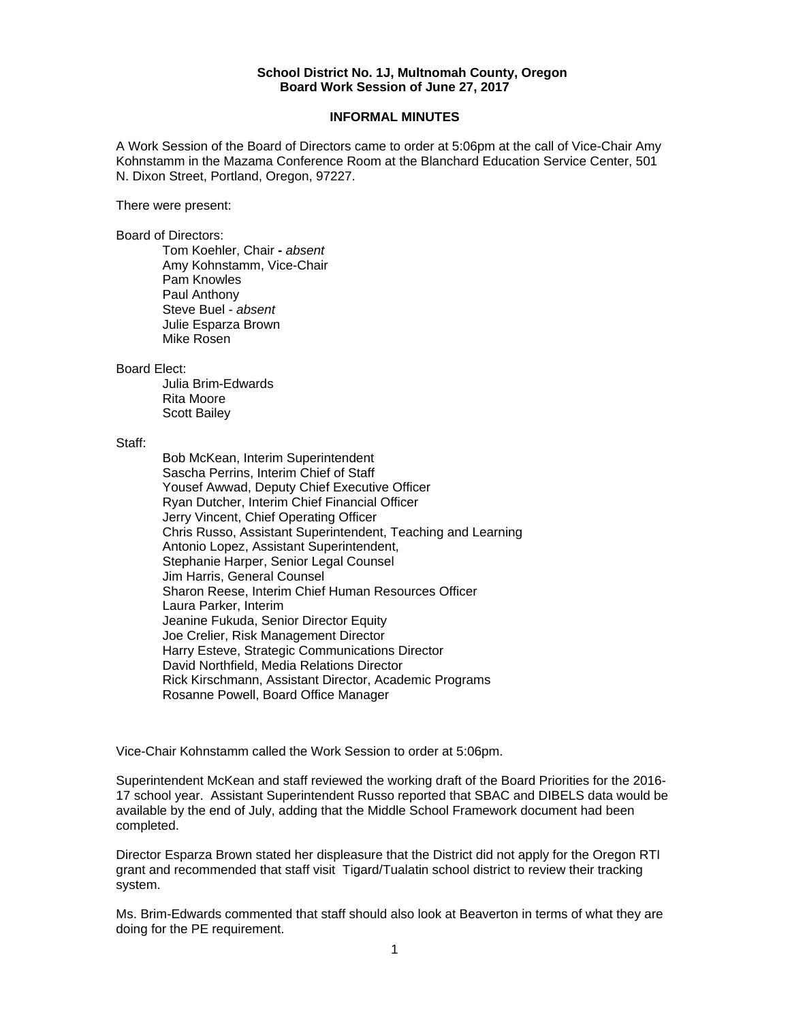## **School District No. 1J, Multnomah County, Oregon Board Work Session of June 27, 2017**

## **INFORMAL MINUTES**

A Work Session of the Board of Directors came to order at 5:06pm at the call of Vice-Chair Amy Kohnstamm in the Mazama Conference Room at the Blanchard Education Service Center, 501 N. Dixon Street, Portland, Oregon, 97227.

There were present:

Board of Directors:

Tom Koehler, Chair **-** *absent* Amy Kohnstamm, Vice-Chair Pam Knowles Paul Anthony Steve Buel - *absent*  Julie Esparza Brown Mike Rosen

Board Elect:

 Julia Brim-Edwards Rita Moore Scott Bailey

Staff:

 Bob McKean, Interim Superintendent Sascha Perrins, Interim Chief of Staff Yousef Awwad, Deputy Chief Executive Officer Ryan Dutcher, Interim Chief Financial Officer Jerry Vincent, Chief Operating Officer Chris Russo, Assistant Superintendent, Teaching and Learning Antonio Lopez, Assistant Superintendent, Stephanie Harper, Senior Legal Counsel Jim Harris, General Counsel Sharon Reese, Interim Chief Human Resources Officer Laura Parker, Interim Jeanine Fukuda, Senior Director Equity Joe Crelier, Risk Management Director Harry Esteve, Strategic Communications Director David Northfield, Media Relations Director Rick Kirschmann, Assistant Director, Academic Programs Rosanne Powell, Board Office Manager

Vice-Chair Kohnstamm called the Work Session to order at 5:06pm.

Superintendent McKean and staff reviewed the working draft of the Board Priorities for the 2016- 17 school year. Assistant Superintendent Russo reported that SBAC and DIBELS data would be available by the end of July, adding that the Middle School Framework document had been completed.

Director Esparza Brown stated her displeasure that the District did not apply for the Oregon RTI grant and recommended that staff visit Tigard/Tualatin school district to review their tracking system.

Ms. Brim-Edwards commented that staff should also look at Beaverton in terms of what they are doing for the PE requirement.